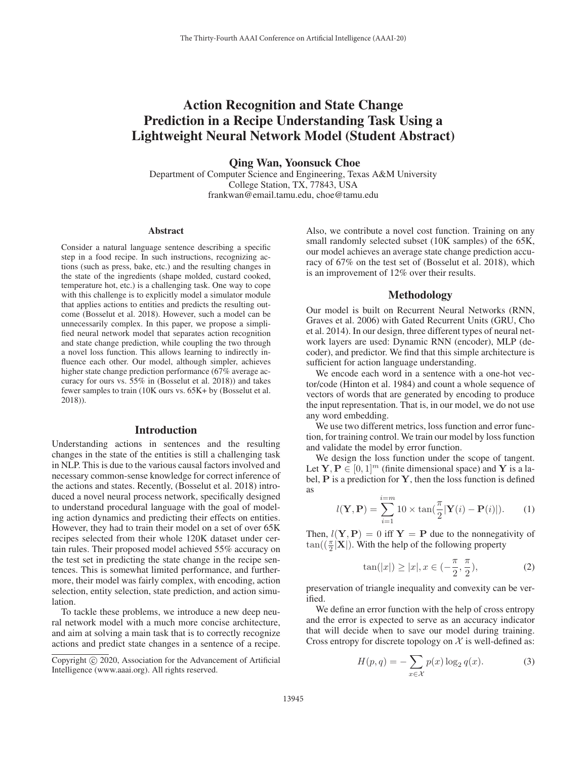# Action Recognition and State Change Prediction in a Recipe Understanding Task Using a Lightweight Neural Network Model (Student Abstract)

Qing Wan, Yoonsuck Choe

Department of Computer Science and Engineering, Texas A&M University College Station, TX, 77843, USA frankwan@email.tamu.edu, choe@tamu.edu

#### Abstract

Consider a natural language sentence describing a specific step in a food recipe. In such instructions, recognizing actions (such as press, bake, etc.) and the resulting changes in the state of the ingredients (shape molded, custard cooked, temperature hot, etc.) is a challenging task. One way to cope with this challenge is to explicitly model a simulator module that applies actions to entities and predicts the resulting outcome (Bosselut et al. 2018). However, such a model can be unnecessarily complex. In this paper, we propose a simplified neural network model that separates action recognition and state change prediction, while coupling the two through a novel loss function. This allows learning to indirectly influence each other. Our model, although simpler, achieves higher state change prediction performance (67% average accuracy for ours vs. 55% in (Bosselut et al. 2018)) and takes fewer samples to train (10K ours vs. 65K+ by (Bosselut et al. 2018)).

#### Introduction

Understanding actions in sentences and the resulting changes in the state of the entities is still a challenging task in NLP. This is due to the various causal factors involved and necessary common-sense knowledge for correct inference of the actions and states. Recently, (Bosselut et al. 2018) introduced a novel neural process network, specifically designed to understand procedural language with the goal of modeling action dynamics and predicting their effects on entities. However, they had to train their model on a set of over 65K recipes selected from their whole 120K dataset under certain rules. Their proposed model achieved 55% accuracy on the test set in predicting the state change in the recipe sentences. This is somewhat limited performance, and furthermore, their model was fairly complex, with encoding, action selection, entity selection, state prediction, and action simulation.

To tackle these problems, we introduce a new deep neural network model with a much more concise architecture, and aim at solving a main task that is to correctly recognize actions and predict state changes in a sentence of a recipe.

Also, we contribute a novel cost function. Training on any small randomly selected subset (10K samples) of the 65K, our model achieves an average state change prediction accuracy of 67% on the test set of (Bosselut et al. 2018), which is an improvement of 12% over their results.

#### Methodology

Our model is built on Recurrent Neural Networks (RNN, Graves et al. 2006) with Gated Recurrent Units (GRU, Cho et al. 2014). In our design, three different types of neural network layers are used: Dynamic RNN (encoder), MLP (decoder), and predictor. We find that this simple architecture is sufficient for action language understanding.

We encode each word in a sentence with a one-hot vector/code (Hinton et al. 1984) and count a whole sequence of vectors of words that are generated by encoding to produce the input representation. That is, in our model, we do not use any word embedding.

We use two different metrics, loss function and error function, for training control. We train our model by loss function and validate the model by error function.

We design the loss function under the scope of tangent. Let  $Y, P \in [0, 1]^m$  (finite dimensional space) and Y is a label, **P** is a prediction for **Y**, then the loss function is defined as

$$
l(\mathbf{Y}, \mathbf{P}) = \sum_{i=1}^{i=m} 10 \times \tan(\frac{\pi}{2} |\mathbf{Y}(i) - \mathbf{P}(i)|). \tag{1}
$$

Then,  $l(Y, P) = 0$  iff  $Y = P$  due to the nonnegativity of  $\tan((\frac{\pi}{2}|\mathbf{X}|)$ . With the help of the following property

$$
\tan(|x|) \ge |x|, x \in \left(-\frac{\pi}{2}, \frac{\pi}{2}\right),\tag{2}
$$

2 2 preservation of triangle inequality and convexity can be verified.

We define an error function with the help of cross entropy and the error is expected to serve as an accuracy indicator that will decide when to save our model during training. Cross entropy for discrete topology on  $X$  is well-defined as:

$$
H(p,q) = -\sum_{x \in \mathcal{X}} p(x) \log_2 q(x).
$$
 (3)

Copyright  $\odot$  2020, Association for the Advancement of Artificial Intelligence (www.aaai.org). All rights reserved.